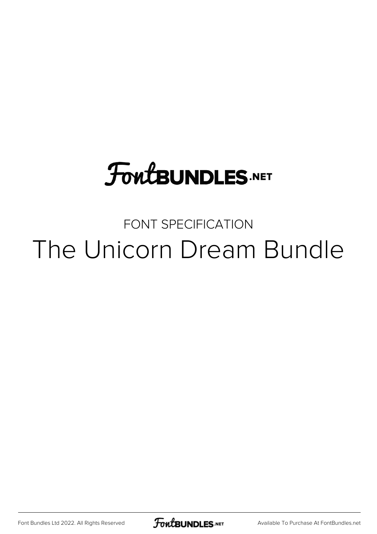## **FoutBUNDLES.NET**

### FONT SPECIFICATION The Unicorn Dream Bundle

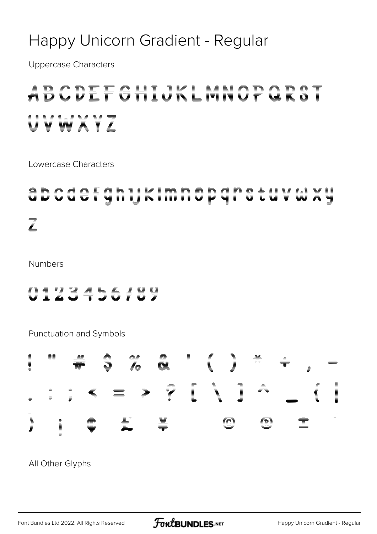#### Happy Unicorn Gradient - Regular

**Uppercase Characters** 

### ABCDEFGHIJKLMNUPQROT UVWXYZ

Lowercase Characters

### abodefghijkimnopqnetuvwxy  $\overline{\overline{\mathbb{Z}}}$

**Numbers** 

#### 0143456789

Punctuation and Symbols

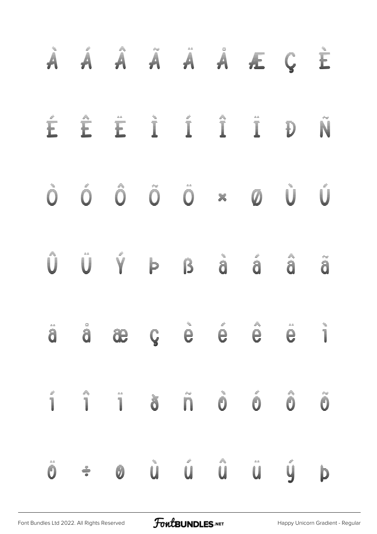| i<br>A                                                                                                                                                                                                                                                                                                                                                                                                                             | f<br>A                                                                                                                                                                                                                                                                                                                                                                           | A<br>A                                                           | ÷<br>A                                                                                         | <b>Fi</b>                                                                                                      | <b>Filling</b>       | f.                                                                                                                                                                                                                                                                                                                                                                                                             | $\mathbf{u}(\boldsymbol{\zeta}^{\mathrm{min}}_{\mathbf{h}})$ | E                                                                                            |
|------------------------------------------------------------------------------------------------------------------------------------------------------------------------------------------------------------------------------------------------------------------------------------------------------------------------------------------------------------------------------------------------------------------------------------|----------------------------------------------------------------------------------------------------------------------------------------------------------------------------------------------------------------------------------------------------------------------------------------------------------------------------------------------------------------------------------|------------------------------------------------------------------|------------------------------------------------------------------------------------------------|----------------------------------------------------------------------------------------------------------------|----------------------|----------------------------------------------------------------------------------------------------------------------------------------------------------------------------------------------------------------------------------------------------------------------------------------------------------------------------------------------------------------------------------------------------------------|--------------------------------------------------------------|----------------------------------------------------------------------------------------------|
| <b>Fulled</b>                                                                                                                                                                                                                                                                                                                                                                                                                      | E                                                                                                                                                                                                                                                                                                                                                                                | E                                                                | $\left\Vert \mathbf{H}^{\mathrm{H}}\right\Vert =\left\Vert \mathbf{H}^{\mathrm{H}}\right\Vert$ | $\left\Vert \mathbf{H}\right\Vert =\left\Vert \mathbf{H}\right\Vert \left\Vert \mathbf{H}\right\Vert$          | <b>A</b>             | $\begin{array}{c} \rule{2mm}{2mm} \rule{2mm}{2mm} \rule{2mm}{2mm} \rule{2mm}{2mm} \rule{2mm}{2mm} \rule{2mm}{2mm} \rule{2mm}{2mm} \rule{2mm}{2mm} \rule{2mm}{2mm} \rule{2mm}{2mm} \rule{2mm}{2mm} \rule{2mm}{2mm} \rule{2mm}{2mm} \rule{2mm}{2mm} \rule{2mm}{2mm} \rule{2mm}{2mm} \rule{2mm}{2mm} \rule{2mm}{2mm} \rule{2mm}{2mm} \rule{2mm}{2mm} \rule{2mm}{2mm} \rule{2mm}{2mm} \rule{2mm}{2mm} \rule{2mm}{$ | <b>Vince</b>                                                 |                                                                                              |
| t                                                                                                                                                                                                                                                                                                                                                                                                                                  | $\begin{picture}(22,20) \put(0,0){\vector(1,0){10}} \put(1,0){\vector(1,0){10}} \put(1,0){\vector(1,0){10}} \put(1,0){\vector(1,0){10}} \put(1,0){\vector(1,0){10}} \put(1,0){\vector(1,0){10}} \put(1,0){\vector(1,0){10}} \put(1,0){\vector(1,0){10}} \put(1,0){\vector(1,0){10}} \put(1,0){\vector(1,0){10}} \put(1,0){\vector(1,0){10}} \put(1,0){\vector(1,0){10}} \put(1,$ | <b>Compa</b>                                                     | $\begin{array}{c} \mathbf{C} \\ \mathbf{C} \end{array}$                                        | $\begin{bmatrix} 1 & 1 \\ 1 & 1 \\ 1 & 1 \end{bmatrix}$                                                        | ă                    | Ō                                                                                                                                                                                                                                                                                                                                                                                                              |                                                              |                                                                                              |
| $\begin{array}{ccccccccc} \mathbb{Z} & \mathbb{Z} & \mathbb{Z} & \mathbb{Z} & \mathbb{Z} & \mathbb{Z} & \mathbb{Z} & \mathbb{Z} & \mathbb{Z} & \mathbb{Z} & \mathbb{Z} & \mathbb{Z} & \mathbb{Z} & \mathbb{Z} & \mathbb{Z} & \mathbb{Z} & \mathbb{Z} & \mathbb{Z} & \mathbb{Z} & \mathbb{Z} & \mathbb{Z} & \mathbb{Z} & \mathbb{Z} & \mathbb{Z} & \mathbb{Z} & \mathbb{Z} & \mathbb{Z} & \mathbb{Z} & \mathbb{Z} & \mathbb{Z} & \$ |                                                                                                                                                                                                                                                                                                                                                                                  | $\label{eq:optimal} \mathbf{curl}(\xi_{\text{tr}}^{(t)}, \eta).$ | <b>TIP</b>                                                                                     | <b>D</b>                                                                                                       | Chile de             | China C                                                                                                                                                                                                                                                                                                                                                                                                        | A and a                                                      | <b>Chair</b>                                                                                 |
| $\mathbin{\raisebox{.3pt}{\scriptsize$\cong$}}\mathbin{\raisebox{.3pt}{\scriptsize$\cong$}}$<br>â                                                                                                                                                                                                                                                                                                                                  | <b>Chile</b>                                                                                                                                                                                                                                                                                                                                                                     | æ                                                                | J,                                                                                             | $\triangleq$<br>Û                                                                                              | $\hat{\varphi}$<br>ê | 흑<br>Û                                                                                                                                                                                                                                                                                                                                                                                                         | $=$<br>Û                                                     | $\hat{=}$<br>$\begin{array}{c} \hline \hline \hline \hline \hline \hline \hline \end{array}$ |
| <b>Contract Contract</b>                                                                                                                                                                                                                                                                                                                                                                                                           | A<br>Timeli                                                                                                                                                                                                                                                                                                                                                                      |                                                                  | Ì                                                                                              | İ                                                                                                              | İ                    | Ć                                                                                                                                                                                                                                                                                                                                                                                                              | é<br>Ú                                                       | ÷<br>Ū                                                                                       |
| Ô                                                                                                                                                                                                                                                                                                                                                                                                                                  | $\frac{1}{\frac{1}{\frac{1}{x}}}$                                                                                                                                                                                                                                                                                                                                                | â                                                                | Ĺ                                                                                              | $\begin{array}{c}\n\mathbb{I}^{\text{max}} \\ \mathbb{I}^{\text{max}} \\ \mathbb{I}^{\text{max}}\n\end{array}$ | A<br>Links           | i                                                                                                                                                                                                                                                                                                                                                                                                              |                                                              | þ                                                                                            |

[Font Bundles Ltd 2022. All Rights Reserved](https://fontbundles.net/) **FoutBUNDLES.NET** [Happy Unicorn Gradient - Regular](https://fontbundles.net/)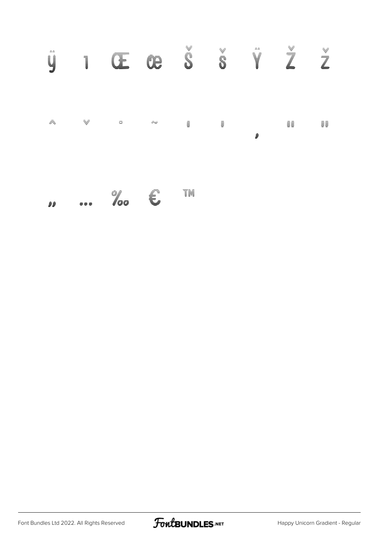| $=$ $=$<br>V | $\overline{\phantom{a}}$ | Q    | È             | $\bigoplus_{i=1}^n \rho_{i+1}^{(i)} \big)$ of: | Vertical Control | $=$ $=$<br>V | $\begin{bmatrix} \begin{bmatrix} \mathbf{0} & \mathbf{0} & \mathbf{0} & \mathbf{0} & \mathbf{0} & \mathbf{0} & \mathbf{0} \end{bmatrix} & \mathbf{0} & \mathbf{0} & \mathbf{0} & \mathbf{0} & \mathbf{0} & \mathbf{0} & \mathbf{0} & \mathbf{0} & \mathbf{0} & \mathbf{0} & \mathbf{0} & \mathbf{0} & \mathbf{0} & \mathbf{0} & \mathbf{0} & \mathbf{0} & \mathbf{0} & \mathbf{0} & \mathbf{0} & \mathbf{0} & \mathbf{0} & \mathbf{0}$ | $\begin{bmatrix} \mathbf{P} \mathbf{u}_{\mathbf{u}} \end{bmatrix} \hspace{0.3cm} \mathbf{q}^{\prime \prime}_{\mathbf{u}}$ |
|--------------|--------------------------|------|---------------|------------------------------------------------|------------------|--------------|----------------------------------------------------------------------------------------------------------------------------------------------------------------------------------------------------------------------------------------------------------------------------------------------------------------------------------------------------------------------------------------------------------------------------------------|---------------------------------------------------------------------------------------------------------------------------|
| 흑            | 亨                        | 右    | $\tilde{\pm}$ | $\bar{\equiv}$                                 | $\equiv$         | Ĵ            | ≣≣                                                                                                                                                                                                                                                                                                                                                                                                                                     | ≣≣                                                                                                                        |
|              |                          | $ -$ | $=$           | $=$ $=$                                        |                  |              |                                                                                                                                                                                                                                                                                                                                                                                                                                        |                                                                                                                           |

 $\bm{n}$  ...  $\phi$  is  $\mathbb{R}$ 

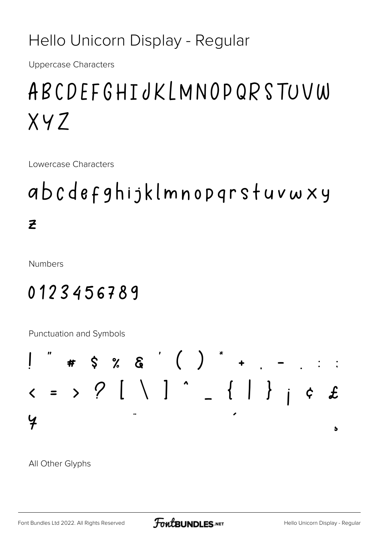#### Hello Unicorn Display - Regular

**Uppercase Characters** 

### ABCDEFGHIJKLMNOPQRSTUVW  $XYZ$

Lowercase Characters

### abcdefghijklmnopgrstuvwxy  $\overline{z}$

**Numbers** 

#### 0123456789

Punctuation and Symbols

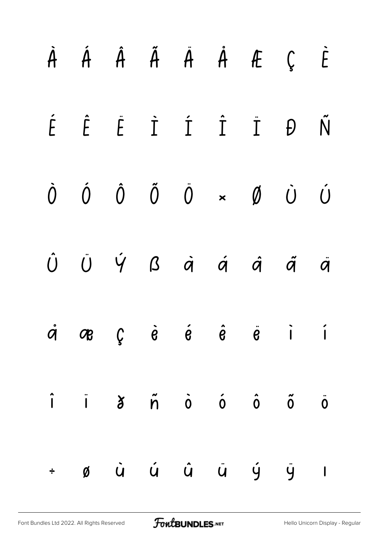| $\dot{A}$ $\dot{A}$ $\ddot{A}$ $\ddot{A}$ $\dot{A}$ $\dot{A}$ $\ddot{C}$                                                                                                                                                                               |  |  |  | $\dot{E}$       |
|--------------------------------------------------------------------------------------------------------------------------------------------------------------------------------------------------------------------------------------------------------|--|--|--|-----------------|
| $\acute{E}$ $\acute{E}$ $\dot{\acute{I}}$ $\acute{I}$ $\acute{I}$ $\acute{I}$ $\acute{D}$                                                                                                                                                              |  |  |  | $\tilde{\sf N}$ |
| $\begin{matrix} \dot{0} & \dot{0} & \dot{0} & \ddot{0} & \dot{0} & \star & \emptyset & \dot{0} & \dot{0} \end{matrix}$                                                                                                                                 |  |  |  |                 |
| $\dot{U}$ $\ddot{U}$ $\dot{Y}$ $\beta$ $\dot{a}$ $\dot{a}$ $\dot{a}$ $\ddot{a}$ $\ddot{a}$                                                                                                                                                             |  |  |  |                 |
| $\dot{q}$ $\sigma$ $\dot{q}$ $\dot{e}$ $\dot{e}$ $\dot{e}$ $\ddot{e}$ $\ddot{e}$ $\ddot{q}$ $\dot{q}$                                                                                                                                                  |  |  |  |                 |
| $\hat{\mathsf{I}}$ $\hat{\mathsf{I}}$ $\hat{\mathsf{I}}$ $\hat{\mathsf{I}}$ $\hat{\mathsf{I}}$ $\hat{\mathsf{I}}$ $\hat{\mathsf{I}}$ $\hat{\mathsf{O}}$ $\hat{\mathsf{O}}$ $\hat{\mathsf{O}}$ $\hat{\mathsf{O}}$ $\hat{\mathsf{O}}$ $\hat{\mathsf{O}}$ |  |  |  |                 |
| $\div$ ø ù ú û ü ý ÿ l                                                                                                                                                                                                                                 |  |  |  |                 |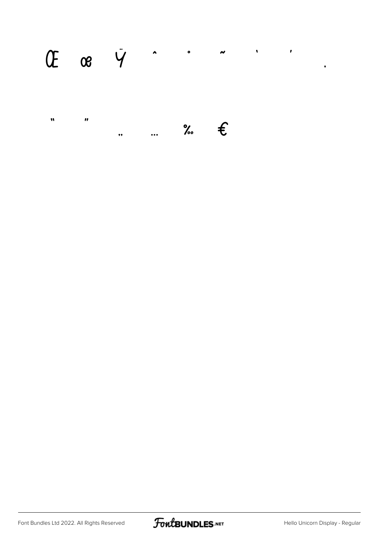## 

 $\pmb{\mathsf{M}}$  $\boldsymbol{\theta}$  $\ldots$  %  $\epsilon$  $,$ 



 $\bullet$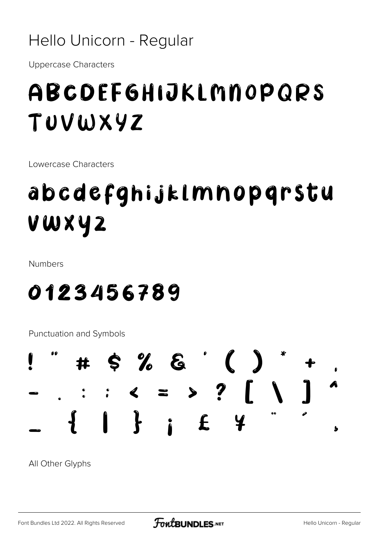#### Hello Unicorn - Regular

**Uppercase Characters** 

### ABCDEFGHIJKLMNOPQRS TUVWXYZ

Lowercase Characters

## abcdefghijklmnopqrstu vwxyz

**Numbers** 

#### 0123456789

Punctuation and Symbols

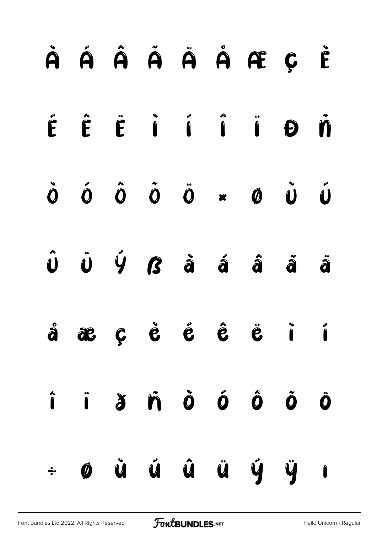|           | À Á Â Ã Ã Å Å Æ Ç È                                                                                                                                                                                                                                                                 |  |  |                 |  |
|-----------|-------------------------------------------------------------------------------------------------------------------------------------------------------------------------------------------------------------------------------------------------------------------------------------|--|--|-----------------|--|
|           | ÉÊËÏÍÎÏĐÑ                                                                                                                                                                                                                                                                           |  |  |                 |  |
|           | $\dot{0}$ $\dot{0}$ $\dot{0}$ $\ddot{0}$ $\ddot{0}$ $\ddot{0}$ $\ddot{0}$ $\ddot{0}$                                                                                                                                                                                                |  |  |                 |  |
|           | $\hat{\mathbf{U}}\quad\hat{\mathbf{U}}\quad\hat{\mathbf{V}}\quad\hat{\mathbf{G}}\qquad\hat{\mathbf{a}}\qquad\hat{\mathbf{a}}\qquad\hat{\mathbf{a}}\qquad\hat{\mathbf{a}}\qquad\hat{\mathbf{a}}$                                                                                     |  |  |                 |  |
|           | $\hat{a}$ a $c$ $\hat{c}$ $\hat{c}$ $\hat{c}$ $\hat{c}$ $\hat{c}$ $\hat{c}$ $\hat{c}$ $\hat{c}$ $\hat{c}$ $\hat{c}$ $\hat{c}$ $\hat{c}$ $\hat{c}$ $\hat{c}$ $\hat{c}$ $\hat{c}$ $\hat{c}$ $\hat{c}$ $\hat{c}$ $\hat{c}$ $\hat{c}$ $\hat{c}$ $\hat{c}$ $\hat{c}$ $\hat{c}$ $\hat{c}$ |  |  |                 |  |
|           | î i $\delta$ ñ Ò Ó Ô Õ Ö                                                                                                                                                                                                                                                            |  |  |                 |  |
| $\bullet$ |                                                                                                                                                                                                                                                                                     |  |  | ø ù ú û ü ý ÿ ı |  |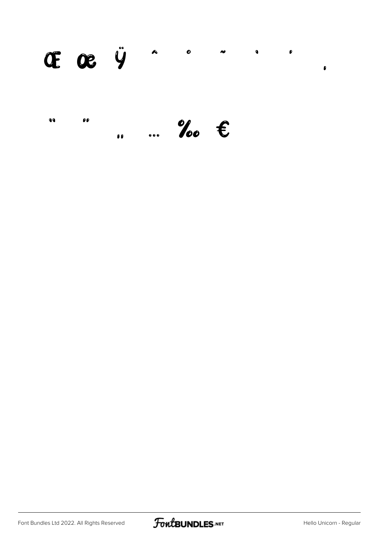#### $x^2$   $x^2$  $\bullet$  $\bullet$  $\bullet$  $\bullet$  $\bullet$  $\pmb{\theta}$

 $\bullet\bullet$  $\rho\rho$  $\ldots$  %  $\epsilon$  $\bullet$ 

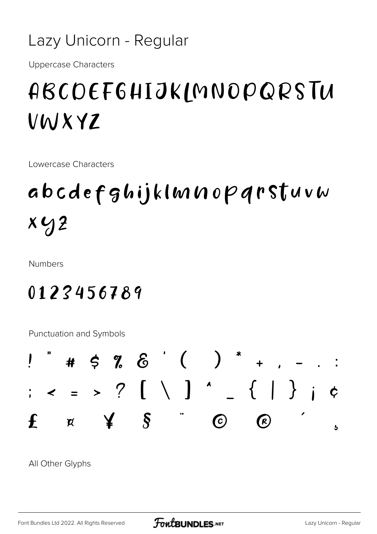#### Lazy Unicorn - Regular

**Uppercase Characters** 

### ABCDEF6HIJKLMNOPQRSTU VWXYZ

Lowercase Characters

## abcdefghijklmnopqrstuvw  $x y$

**Numbers** 

#### 0123456789

Punctuation and Symbols

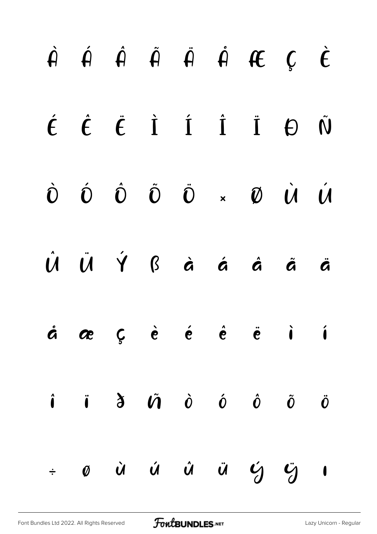|  |  |  | $\dot{H}$ $\dot{H}$ $\dot{H}$ $\ddot{H}$ $\dot{H}$ $H$ $C$ $\dot{C}$                                                                                                                                                                                                                                                                                                                                                                                                                 |  |
|--|--|--|--------------------------------------------------------------------------------------------------------------------------------------------------------------------------------------------------------------------------------------------------------------------------------------------------------------------------------------------------------------------------------------------------------------------------------------------------------------------------------------|--|
|  |  |  | $\acute{t}$ $\acute{t}$ $\acute{t}$ $\acute{1}$ $\acute{1}$ $\acute{1}$ $\acute{1}$ $\acute{0}$ $\ddot{0}$                                                                                                                                                                                                                                                                                                                                                                           |  |
|  |  |  | $\begin{matrix} \dot{\mathbf{O}} & \dot{\mathbf{O}} & \dot{\mathbf{O}} & \dot{\mathbf{O}} & \mathbf{O} & \times & \mathbf{O} & \dot{\mathbf{O}} & \dot{\mathbf{O}} & \dot{\mathbf{O}} & \dot{\mathbf{O}} & \dot{\mathbf{O}} & \dot{\mathbf{O}} & \dot{\mathbf{O}} & \mathbf{O} & \dot{\mathbf{O}} & \dot{\mathbf{O}} & \dot{\mathbf{O}} & \dot{\mathbf{O}} & \dot{\mathbf{O}} & \dot{\mathbf{O}} & \dot{\mathbf{O}} & \dot{\mathbf{O}} & \dot{\mathbf{O}} & \dot{\mathbf{O}} & \dot$ |  |
|  |  |  | Û Ü Ý ß à á á å ä                                                                                                                                                                                                                                                                                                                                                                                                                                                                    |  |
|  |  |  | $\dot{a}$ $\alpha$ $\zeta$ $\dot{e}$ $\dot{e}$ $\dot{e}$ $\dot{e}$ $\ddot{e}$ $\dot{1}$                                                                                                                                                                                                                                                                                                                                                                                              |  |
|  |  |  | $\hat{\mathbf{i}}$ $\hat{\mathbf{i}}$ $\hat{\mathbf{d}}$ $\hat{\mathbf{d}}$ $\hat{\mathbf{v}}$ $\hat{\mathbf{o}}$ $\hat{\mathbf{o}}$ $\hat{\mathbf{o}}$ $\hat{\mathbf{o}}$ $\hat{\mathbf{o}}$                                                                                                                                                                                                                                                                                        |  |
|  |  |  | $\begin{array}{ccccccccccccccccc}\n&\circ&\circ&\circ&\circ&\circ&\circ&\circ&\circ\end{array}$                                                                                                                                                                                                                                                                                                                                                                                      |  |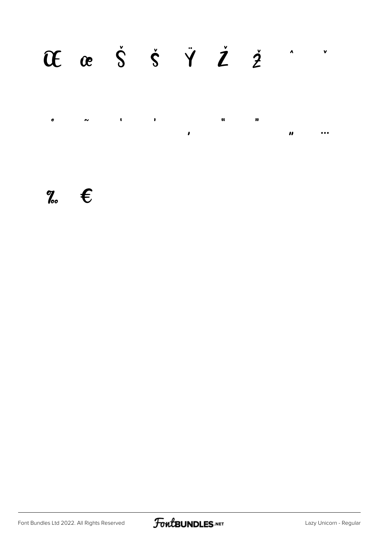#### Of ce  $\dot{S}$   $\dot{S}$   $\ddot{Y}$   $\dot{Z}$   $\dot{Z}$  $\lambda$  $\mathbf{v}$

 $\pmb{\cdot}$  $\bar{\mathbf{u}}$  $\pmb{\circ}$  $\pmb{\mathfrak{c}}$  $\blacksquare$  $\sim$  $\bullet$  $\pmb{\mathcal{U}}$  $\ddot{\bullet}$ 

#### $\mathscr{C}_{\infty}$   $\epsilon$

Font Bundles Ltd 2022. All Rights Reserved

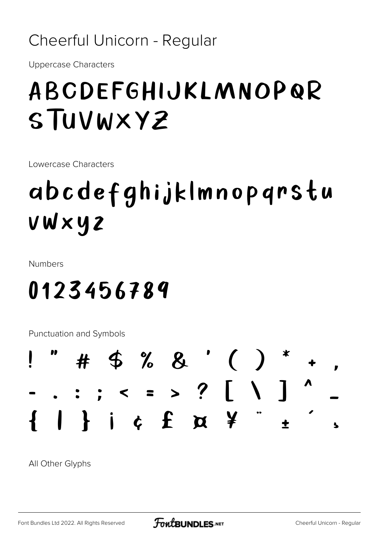#### Cheerful Unicorn - Regular

**Uppercase Characters** 

### ABCDEFGHIJKLMNOPQR STUVWXYZ

Lowercase Characters

## abcdefghijklmnopqrstu vwxyz

**Numbers** 

### 0123456789

Punctuation and Symbols

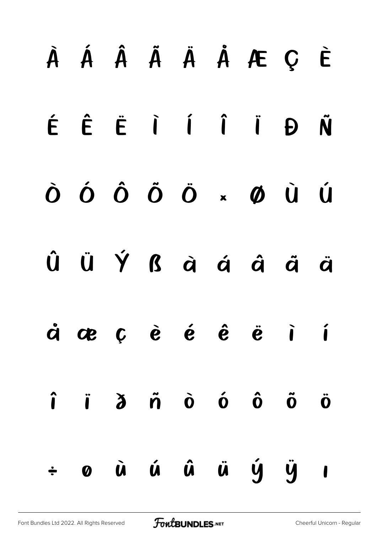|        |  |  | À Á Â Ã Ä Ä Å Æ Ç È                                                                                                                                                        |  |
|--------|--|--|----------------------------------------------------------------------------------------------------------------------------------------------------------------------------|--|
|        |  |  | ÉÊËIIIDÑ                                                                                                                                                                   |  |
|        |  |  | ÒÓÔÕÖרÙÚ                                                                                                                                                                   |  |
|        |  |  | Û Ü Ý ß à á â ã ä                                                                                                                                                          |  |
|        |  |  | $\dot{a}$ avec $\dot{e}$ $\dot{e}$ $\dot{e}$ $\ddot{e}$ $\ddot{e}$ $\ddot{i}$                                                                                              |  |
|        |  |  | $\hat{\mathbf{i}}$ $\hat{\mathbf{i}}$ $\hat{\mathbf{d}}$ $\hat{\mathbf{n}}$ $\hat{\mathbf{o}}$ $\hat{\mathbf{o}}$ $\hat{\mathbf{o}}$ $\hat{\mathbf{o}}$ $\hat{\mathbf{o}}$ |  |
| $\div$ |  |  | 0 ù ú û ü ý ÿ 1                                                                                                                                                            |  |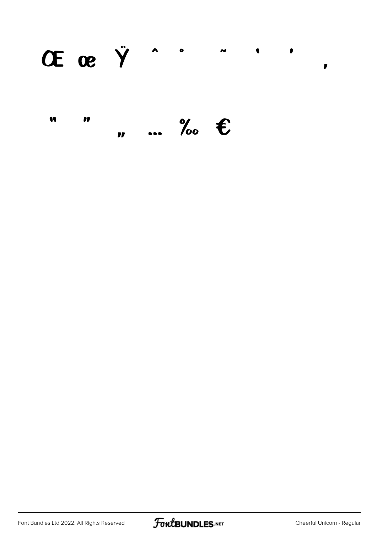$\lambda$  0 OE  $\alpha$   $\ddot{Y}$  $\tilde{\phantom{a}}$  $\bullet$  $\bullet$  $\mathbf{r}$ 

#### U  $\bullet$  $\ldots$  % E  $\mathbf{r}$

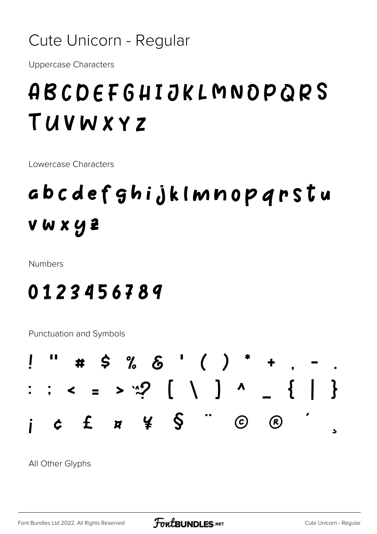#### Cute Unicorn - Regular

**Uppercase Characters** 

### ABCDEFGHIJKLMNOPQRS TUVWXYZ

Lowercase Characters

### abcdefghijklmnopqrstu vwxyz

**Numbers** 

#### 0123456789

Punctuation and Symbols

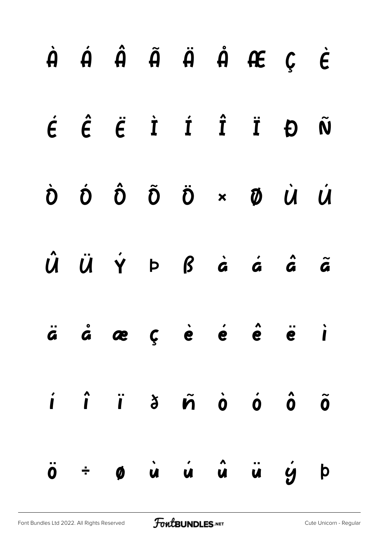|  |  |  | $\dot{A}$ $\dot{A}$ $\dot{A}$ $\ddot{A}$ $\ddot{A}$ $\dot{A}$ $\dot{C}$ $\dot{C}$                                                                                                                                                                                                                                                                                                                                                                                                  |  |
|--|--|--|------------------------------------------------------------------------------------------------------------------------------------------------------------------------------------------------------------------------------------------------------------------------------------------------------------------------------------------------------------------------------------------------------------------------------------------------------------------------------------|--|
|  |  |  | $\acute{\epsilon}$ $\acute{\epsilon}$ $\acute{\epsilon}$ $\dot{\tau}$ $\acute{\tau}$ $\ddot{\tau}$ $\ddot{\tau}$ $\theta$ $\ddot{\omega}$                                                                                                                                                                                                                                                                                                                                          |  |
|  |  |  | $\dot{\mathbf{D}}\quad\dot{\mathbf{D}}\quad\dot{\mathbf{D}}\quad\ddot{\mathbf{D}}\quad\ddot{\mathbf{D}}\quad\mathbf{M}\quad\dot{\mathbf{M}}\quad\dot{\mathbf{U}}\quad\dot{\mathbf{U}}\quad\mathbf{I}\quad\dot{\mathbf{U}}\quad\mathbf{I}\quad\dot{\mathbf{I}}\quad\mathbf{I}\quad\dot{\mathbf{I}}\quad\mathbf{I}\quad\dot{\mathbf{I}}\quad\mathbf{I}\quad\dot{\mathbf{I}}\quad\mathbf{I}\quad\dot{\mathbf{I}}\quad\mathbf{I}\quad\dot{\mathbf{I}}\quad\mathbf{I}\quad\dot{\mathbf$ |  |
|  |  |  | $\hat{U}$ $\ddot{U}$ $\dot{Y}$ $P$ $\dot{B}$ $\dot{a}$ $\dot{a}$ $\dot{a}$ $\ddot{a}$                                                                                                                                                                                                                                                                                                                                                                                              |  |
|  |  |  | $\ddot{a}$ $\dot{a}$ $\alpha$ $\zeta$ $\dot{e}$ $\dot{e}$ $\dot{e}$ $\dot{e}$ $\ddot{e}$ $\ddot{e}$ $\ddot{e}$                                                                                                                                                                                                                                                                                                                                                                     |  |
|  |  |  |                                                                                                                                                                                                                                                                                                                                                                                                                                                                                    |  |
|  |  |  | $\ddot{\mathbf{o}}$ $\div$ $\mathbf{o}$ $\dot{\mathbf{u}}$ $\dot{\mathbf{u}}$ $\dot{\mathbf{u}}$ $\ddot{\mathbf{u}}$ $\dot{\mathbf{y}}$ $\dot{\mathbf{p}}$                                                                                                                                                                                                                                                                                                                         |  |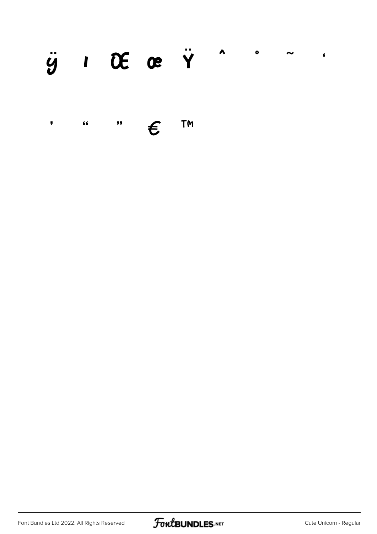#### $\ddot{y}$   $\prime$  OE oe  $\ddot{Y}$   $\prime$  $\bullet$  $\blacksquare$

TM  $, ,$  $\overline{\mathbf{66}}$  $\pmb{\overline{y}}$  $\boldsymbol{\epsilon}$ 

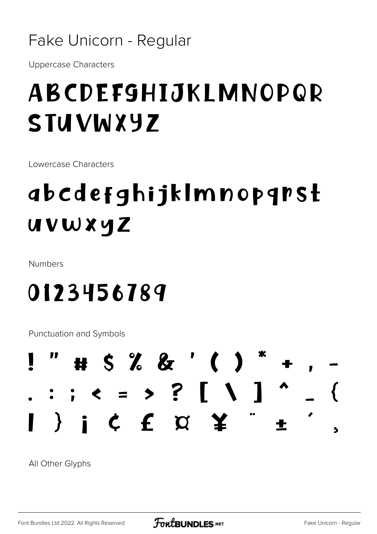#### Fake Unicorn - Regular

**Uppercase Characters** 

### ABCDEFGHIJKLMNOPQR **STUVWXYZ**

Lowercase Characters

## *abcdefghijkImnopgrst* uvwxyz

Numbers

0123456789

Punctuation and Symbols

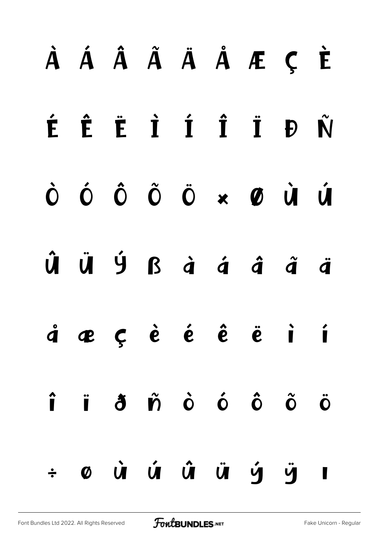## À Á Â Ã Ä Å Å Æ Ç È É Ê Ë İ Í Î Ï Đ Ñ ÓÔÕÖרÙÚ  $\dot{O}$ ÜÝ ßà á â ã ä  $\hat{\bm{U}}$  $\dot{q}$   $q$   $c$   $\dot{e}$   $\dot{e}$   $\dot{e}$   $\ddot{e}$   $\ddot{e}$  $\overline{1}$ jā piò ó ô õ  $\hat{\mathbf{I}}$  $\ddot{\mathbf{O}}$ ØÙÚ Ú Ü <u>и́ ч</u>  $\div$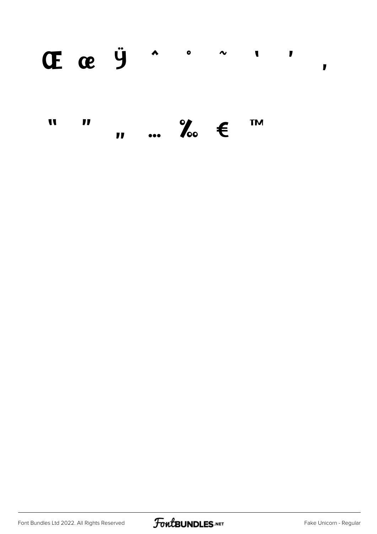#### CECE Ÿ ^ ^ ^  $\blacksquare$  $\blacksquare$

 $\mathbf{v}$   $\mathbf{w}$   $\mathbf{v}$   $\mathbf{v}$   $\mathbf{v}$   $\mathbf{v}$ **TM** W  $\blacksquare$ 



 $\mathbf{r}$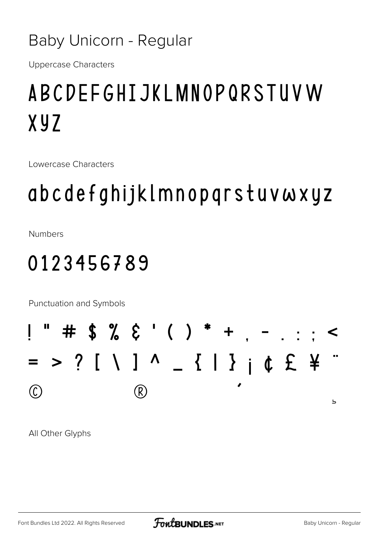#### **Baby Unicorn - Regular**

**Uppercase Characters** 

### **ABCDEFGHIJKLMNOPQRSTUVW**  $XYZ$

Lowercase Characters

### abcdefghijklmnopqrstuvwxyz

**Numbers** 

#### 0123456789

Punctuation and Symbols

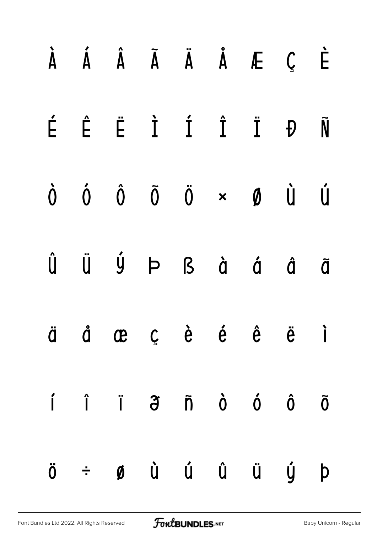|  | À Á Â Ã Ä Å Æ Ç                                                                  |  |  | È |
|--|----------------------------------------------------------------------------------|--|--|---|
|  | É Ê Ë Ì Í Î Ï Đ Ñ                                                                |  |  |   |
|  | $\dot{0}$ $\dot{0}$ $\ddot{0}$ $\ddot{0}$ $\times$ $\dot{0}$ $\dot{u}$ $\dot{u}$ |  |  |   |
|  | Û Ü Ý Þ ß à á å ā                                                                |  |  |   |
|  | äåæçèéê ë i                                                                      |  |  |   |
|  | í î ï $\tilde{\sigma}$ ñ ò ó ô ō                                                 |  |  |   |
|  | ö ÷ ø ù ú û ü ý þ                                                                |  |  |   |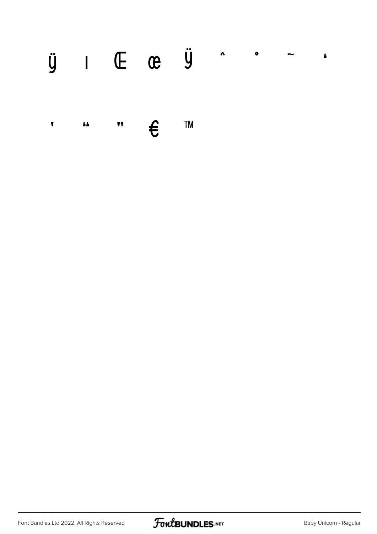#### $\ddot{y}$  I (E (e  $\ddot{y}$  ^  $\ddot{y}$  $\pmb{\pmb{h}}$

**TM**  $\overline{\mathbf{h}}$  $\boldsymbol{\epsilon}$  $\overline{11}$  $\pmb{\mathsf{y}}$ 

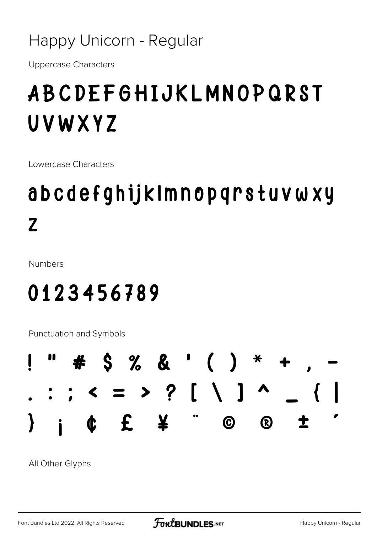#### Happy Unicorn - Regular

**Uppercase Characters** 

### **ABCDEFGHIJKLMNOPQRST** UVWXYZ

Lowercase Characters

### abcdefghijkImnopqrstuvwxy  $\mathbf{Z}$

**Numbers** 

### 0123456789

Punctuation and Symbols

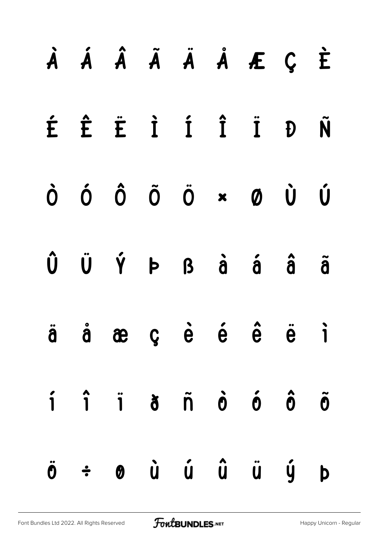|  |  |  | À Á Â Ã Ä Å Æ Ç È                                                                                                                                                          |  |
|--|--|--|----------------------------------------------------------------------------------------------------------------------------------------------------------------------------|--|
|  |  |  | É Ê Ë İ Í Î Ï Đ Ñ                                                                                                                                                          |  |
|  |  |  | $\dot{O}$ $\dot{O}$ $\ddot{O}$ $\ddot{O}$ $\dot{O}$ $\dot{O}$ $\dot{O}$ $\dot{O}$                                                                                          |  |
|  |  |  | $\hat{U}$ $\ddot{U}$ $\acute{Y}$ $\vdash$ $\beta$ $\dot{a}$ $\acute{a}$ $\ddot{a}$ $\ddot{a}$                                                                              |  |
|  |  |  | ä å æ ç è é ê ë ì                                                                                                                                                          |  |
|  |  |  | $\hat{\mathbf{i}}$ $\hat{\mathbf{i}}$ $\hat{\mathbf{i}}$ $\hat{\mathbf{o}}$ $\hat{\mathbf{n}}$ $\hat{\mathbf{o}}$ $\hat{\mathbf{o}}$ $\hat{\mathbf{o}}$ $\hat{\mathbf{o}}$ |  |
|  |  |  | $\ddot{\theta}$ $\div$ $\theta$ $\dot{u}$ $\dot{u}$ $\ddot{u}$ $\ddot{u}$ $\dot{y}$ $\dot{p}$                                                                              |  |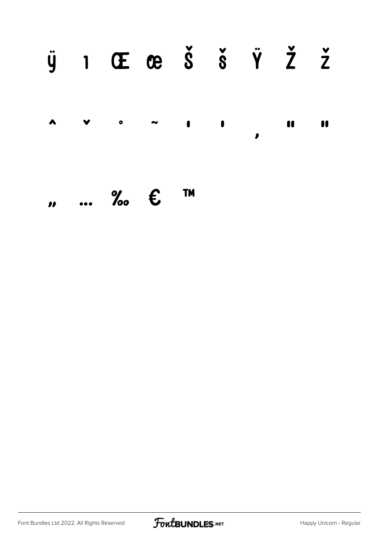#### $\ddot{y}$  1 Œ æ Š š Ÿ Ž ž  $\blacktriangle$  $\bullet$  $\blacksquare$  $\bullet$ 11  $\bullet$  $\mathbf{r}$ TM

 $\ldots$  %  $\epsilon$  $\boldsymbol{\eta}$ 

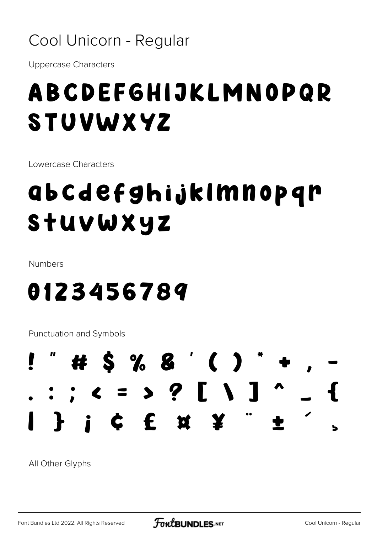#### Cool Unicorn - Regular

**Uppercase Characters** 

## ABCDEFGHIJKLMNOPQR **STUVWXYZ**

Lowercase Characters

## abcdefghijklmnopqr Stuvwxyz

Numbers

### 0123456789

Punctuation and Symbols

#### # \$ % & ' ( ) : ; < = > ? [ \ ] i c f x Y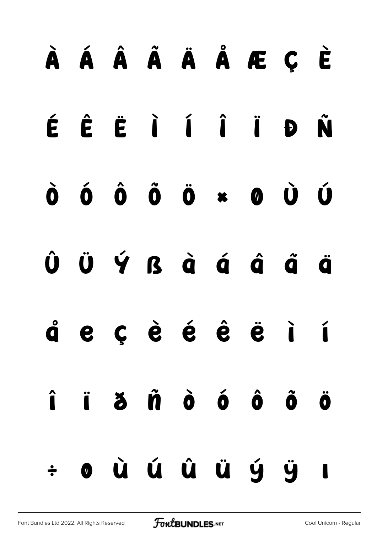## À Á Â Ã Ä Å Æ Ç È ÉÊËIÍÎÎĐÑ  $\hat{\mathbf{0}}$   $\hat{\mathbf{0}}$   $\hat{\mathbf{0}}$   $\hat{\mathbf{0}}$   $\ast$   $\mathbf{0}$   $\hat{\mathbf{U}}$   $\hat{\mathbf{U}}$  $\dot{\mathbf{0}}$ ÜÝß à á á å  $\hat{\mathbf{U}}$ ä e cèé é ë i í å ji žiničné č  $\hat{\mathbf{l}}$  $\ddot{\mathbf{0}}$ où ú û ü ý ÿ  $\overline{\phantom{a}}$  $\div$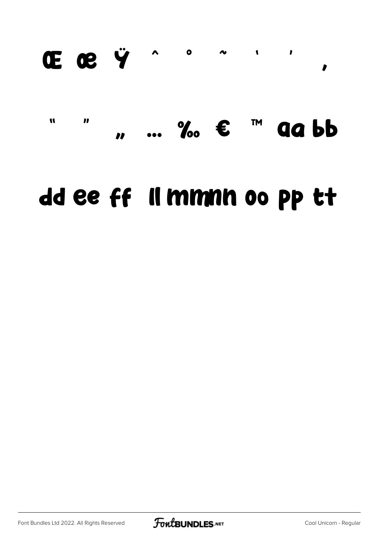#### $\begin{array}{ccc} \mathbf{A} & \mathbf{0} \end{array}$ Œ œ Ÿ  $\sim$  $\mathbf{I}$  $\overline{\phantom{a}}$  $\mathbf{r}$

#### $\boldsymbol{\eta}$  $\cdots$  %  $\epsilon$  im  $\mathbf{u}$ **gabb**  $\overline{\mathbf{r}}$

### dd ee ff Il mmnn oo pp tt

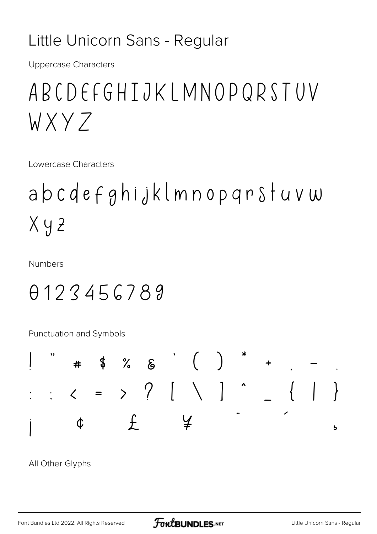#### Little Unicorn Sans - Regular

**Uppercase Characters** 

### ABCDEFGHTJKIMNOPQRSTUV WXY7

Lowercase Characters

## abcdefghijklmnopqrstuvw  $X y z$

**Numbers** 

### 0123456789

Punctuation and Symbols

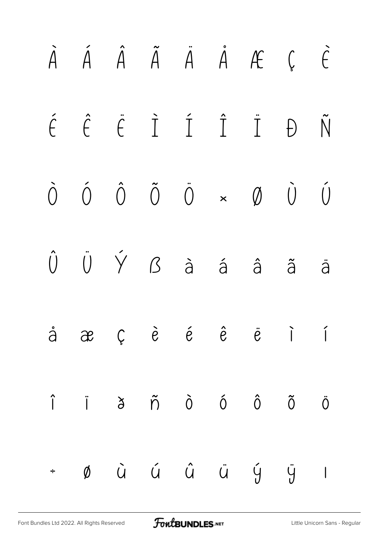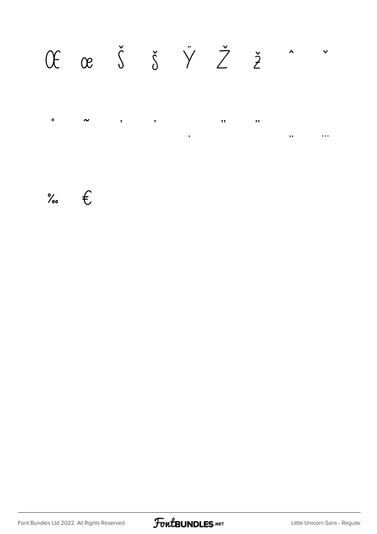#### Of ce  $\check{S}$   $\check{S}$   $\check{Y}$   $\check{Z}$   $\check{z}$   $\hat{z}$  $\vee$  $\bullet$  $\sim$  $\bar{\mathbf{t}}$  $\bar{\mathbf{z}}$  $\langle \rangle$  $\overline{\mathbf{H}}$  $\overline{\mathbf{z}}$  $\dddotsc$  $\bullet$

% $\epsilon$ 

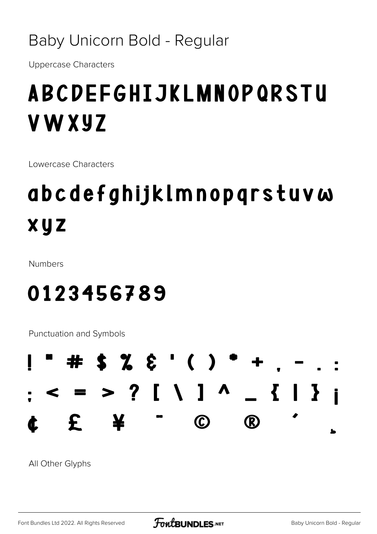#### Baby Unicorn Bold - Regular

**Uppercase Characters** 

## **ABCDEFGHIJKLMNOPQRSTU VWXYZ**

Lowercase Characters

## abcdefghijklmnopqrstuvw xyz

**Numbers** 

### 0123456789

Punctuation and Symbols

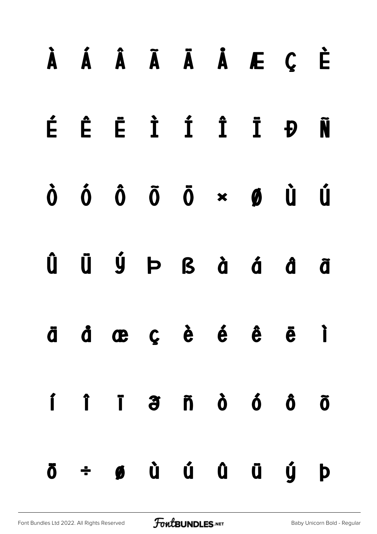#### Á Â Ã Ā Ä Á Æ Ç È  $\lambda$ Ê Ë Ì Í Î Ï Đ É Ñ Ú  $\dot{0}$   $\ddot{0}$   $\ddot{0}$   $\dot{\alpha}$   $\alpha$   $\dot{\beta}$  $\mathbf{\dot{0}}$ ÜÝÞßàáẩ Û ã d œ ç è é ê ë  $\overrightarrow{ }$ ä  $\overline{a}$  n  $\overline{b}$  ó ó í  $\hat{I}$ Ï  $\tilde{0}$  $\div$  6 à ú û û ŷ þ Ö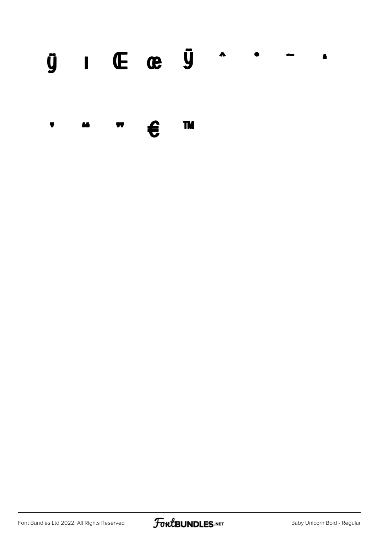#### $\bar{y}$   $I$  (E ce  $\bar{y}$   $\hat{y}$  $\bullet$  $\blacksquare$

**TM** €  $\pmb{\overline{y}}$ **M**  $\pmb{\mathbb{y}}$ 

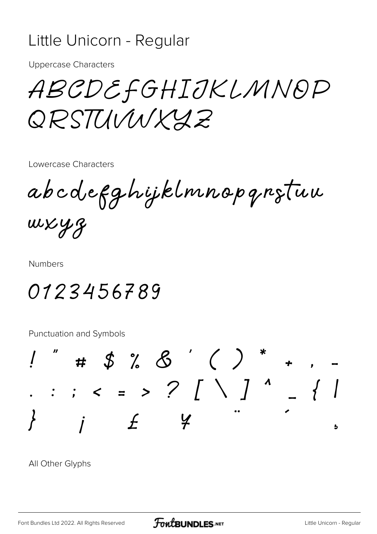#### Little Unicorn - Regular

**Uppercase Characters** 

ABCDEFGHIJKLMNOP QRSTUVWXY2

Lowercase Characters

abcdefghijklmnopqrstuu wxyz

**Numbers** 

#### 0123456789

Punctuation and Symbols

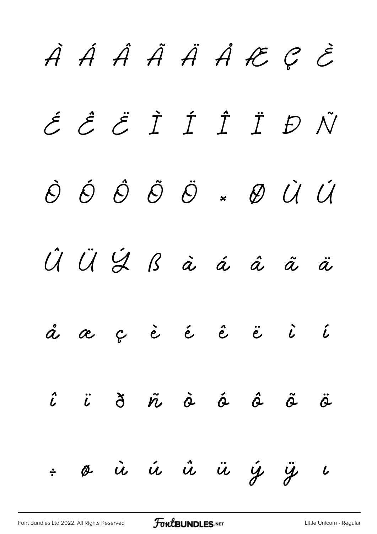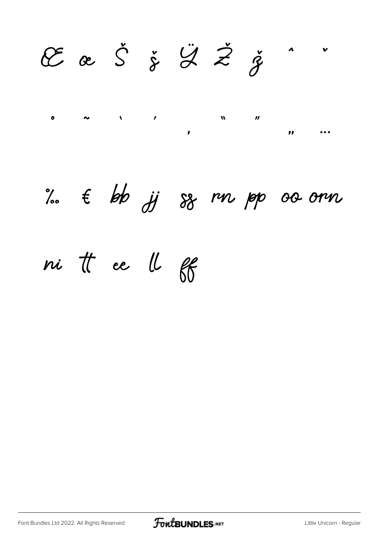E œ Š ž Ž Ž ž  $\triangle$  $\sim$   $\sim$   $\sim$  $\bullet$  $\boldsymbol{M}$  $\boldsymbol{\prime\prime}$ 

 $\pmb{\mathcal{Y}}$ 

 $\mathbf{r}$ 

 $\bullet$   $\bullet$   $\bullet$ 

 $\%$   $\epsilon$  bb  $\#$   $\%$  rn pp oo orn

ni tt ee ll ff

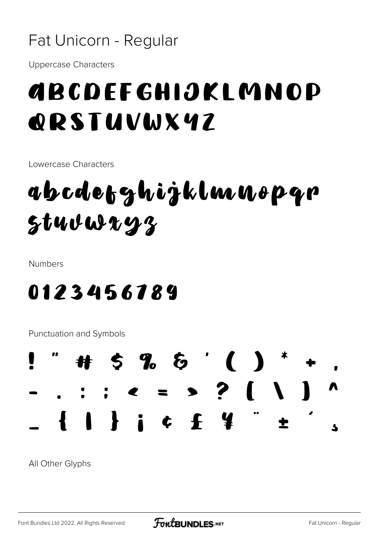#### Fat Unicorn - Regular

**Uppercase Characters** 

### GBCDEFGHIJKLMNOP **QRSTUVWX47**

Lowercase Characters

## abcdetzhijklmuopqr  $stuvwxyz$

**Numbers** 

#### 0123456789

Punctuation and Symbols

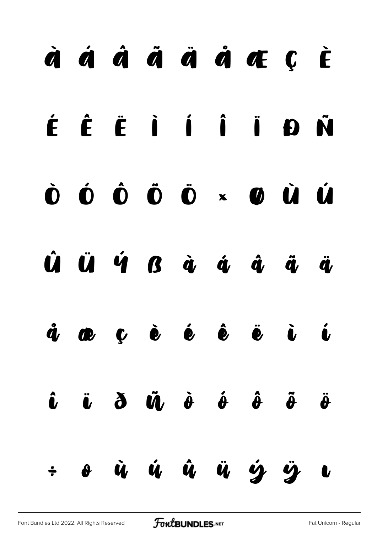## $\dot{a}$   $\dot{a}$   $\dot{a}$   $\ddot{a}$   $\dot{a}$   $\dot{a}$   $\dot{a}$   $\dot{c}$   $\dot{c}$ ÉÊËIIIDÑ  $\dot{\mathbf{O}}$   $\dot{\mathbf{O}}$   $\dot{\mathbf{O}}$   $\dot{\mathbf{O}}$   $\dot{\mathbf{O}}$   $\times$   $\dot{\mathbf{O}}$   $\dot{\mathbf{O}}$ Ú  $\hat{\bm{U}}$   $\hat{\bm{U}}$   $\hat{\bm{V}}$   $\hat{\bm{V}}$   $\hat{\bm{G}}$   $\hat{\bm{G}}$   $\hat{\bm{Q}}$   $\hat{\bm{Q}}$   $\hat{\bm{Q}}$   $\hat{\bm{Q}}$   $\hat{\bm{Q}}$  $\bullet$   $\bullet$   $\bullet$   $\bullet$   $\bullet$   $\bullet$  $\mathring{\bm{q}}$  $\ddot{a}$  $\hat{\mathbf{u}}$  $\ddot{u}$   $\dot{\theta}$   $\dot{\theta}$   $\dot{\theta}$   $\ddot{\theta}$  $\hat{\bm{\iota}}$  $\ddot{\theta}$ o ù ú û ü ý ÿ  $\div$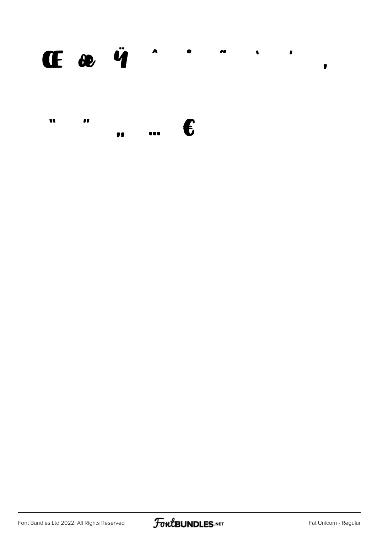#### $\mathbf{I}$   $\mathbf{e}$   $\ddot{\mathbf{q}}$   $\ddot{\mathbf{q}}$  $\bullet$  $\overline{\phantom{a}}$  $\bullet$  $\mathbf{r}$  $\bullet$

| n | m |           |                         |            |
|---|---|-----------|-------------------------|------------|
|   |   | $\bullet$ | $\bullet\bullet\bullet$ | $\epsilon$ |

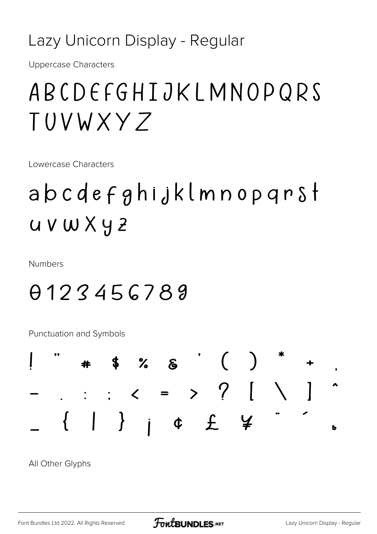#### Lazy Unicorn Display - Regular

**Uppercase Characters** 

### ABCDEFGHIJKLMNOPQRS TUVWXY 7

Lowercase Characters

## abcdefghijklmnopqrst  $UVWXY2$

**Numbers** 

### 0123456789

Punctuation and Symbols

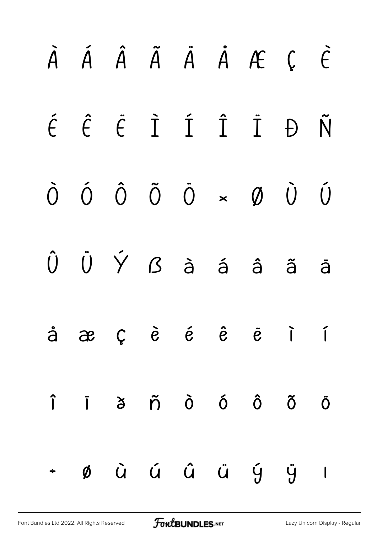|        |  |  | $\tilde{A}$ $\tilde{A}$ $\tilde{A}$ $\tilde{A}$ $\tilde{A}$ $\tilde{A}$ $\tilde{B}$ $\tilde{C}$                                                                                                                                                                                                                                                                                                                                  |  |
|--------|--|--|----------------------------------------------------------------------------------------------------------------------------------------------------------------------------------------------------------------------------------------------------------------------------------------------------------------------------------------------------------------------------------------------------------------------------------|--|
|        |  |  | É Ê Ë Ì Í Ï Đ Ñ                                                                                                                                                                                                                                                                                                                                                                                                                  |  |
|        |  |  | $\begin{matrix} \mathbf{0} & \mathbf{0} & \mathbf{0} & \mathbf{0} & \mathbf{0} & \mathbf{0} & \mathbf{0} & \mathbf{0} & \mathbf{0} & \mathbf{0} & \mathbf{0} & \mathbf{0} & \mathbf{0} & \mathbf{0} & \mathbf{0} & \mathbf{0} & \mathbf{0} & \mathbf{0} & \mathbf{0} & \mathbf{0} & \mathbf{0} & \mathbf{0} & \mathbf{0} & \mathbf{0} & \mathbf{0} & \mathbf{0} & \mathbf{0} & \mathbf{0} & \mathbf{0} & \mathbf{0} & \mathbf{0$ |  |
|        |  |  | $\hat{U}$ $\hat{U}$ $\hat{Y}$ $\hat{B}$ $\hat{a}$ $\hat{a}$ $\hat{a}$ $\hat{a}$ $\hat{a}$                                                                                                                                                                                                                                                                                                                                        |  |
|        |  |  | $\dot{a}$ $\dot{\alpha}$ $\dot{\beta}$ $\dot{e}$ $\dot{e}$ $\dot{e}$ $\ddot{e}$ $\ddot{e}$ $\ddot{1}$                                                                                                                                                                                                                                                                                                                            |  |
|        |  |  | $\hat{\mathsf{I}}$ $\hat{\mathsf{I}}$ $\hat{\mathsf{J}}$ $\hat{\mathsf{O}}$ $\hat{\mathsf{O}}$ $\hat{\mathsf{O}}$ $\hat{\mathsf{O}}$ $\hat{\mathsf{O}}$ $\hat{\mathsf{O}}$ $\hat{\mathsf{O}}$                                                                                                                                                                                                                                    |  |
| $\div$ |  |  | $\emptyset$ à á â ä ý ÿ l                                                                                                                                                                                                                                                                                                                                                                                                        |  |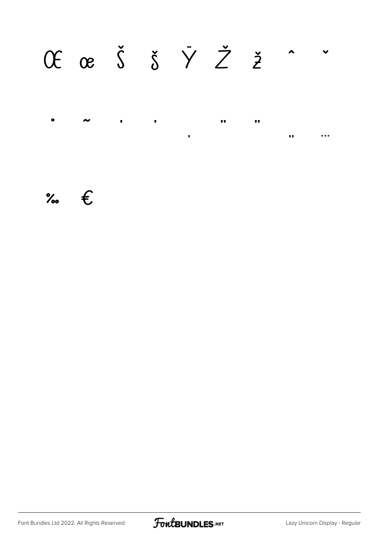#### Of œ Š Š  $\check{y}$   $\check{Z}$  ž  $\hat{z}$  $\checkmark$  $\bullet$  $\bullet\bullet$  $\bullet$  $\bullet$  $\ddot{\bullet}$  $\bullet$  $,$

 $\%$   $\epsilon$ 

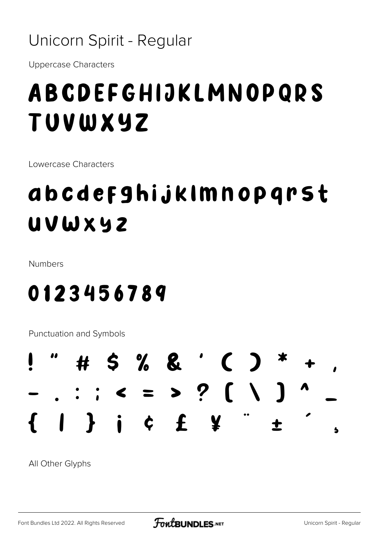#### Unicorn Spirit - Regular

**Uppercase Characters** 

## ABCDEFGHIJKLMNOPQRS TUVWXYZ

Lowercase Characters

### abcdefghijklmnopgrst **UVWXYZ**

Numbers

0123456789

**Punctuation and Symbols** 

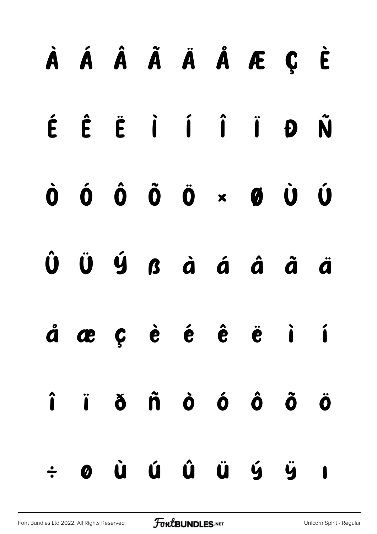| À Á Â Ã Ä Å Æ Ç È                                                                                                                                                                                                                                                                                                             |  |  |  |  |
|-------------------------------------------------------------------------------------------------------------------------------------------------------------------------------------------------------------------------------------------------------------------------------------------------------------------------------|--|--|--|--|
| ÉÊËIÍÎÏĐÑ                                                                                                                                                                                                                                                                                                                     |  |  |  |  |
| $\begin{matrix} 0 & 0 & 0 & 0 \\ 0 & 0 & 0 & 0 \\ 0 & 0 & 0 & 0 \\ 0 & 0 & 0 & 0 \\ 0 & 0 & 0 & 0 \\ 0 & 0 & 0 & 0 \\ 0 & 0 & 0 & 0 \\ 0 & 0 & 0 & 0 \\ 0 & 0 & 0 & 0 \\ 0 & 0 & 0 & 0 \\ 0 & 0 & 0 & 0 & 0 \\ 0 & 0 & 0 & 0 & 0 \\ 0 & 0 & 0 & 0 & 0 \\ 0 & 0 & 0 & 0 & 0 & 0 \\ 0 & 0 & 0 & 0 & 0 & 0 \\ 0 & 0 & 0 & 0 & 0$ |  |  |  |  |
| $\hat{\mathbf{U}}\quad \hat{\mathbf{U}}\quad \hat{\mathbf{U}}\quad \hat{\mathbf{S}}\quad \hat{\mathbf{G}}\quad \hat{\mathbf{G}}\quad \hat{\mathbf{G}}\quad \hat{\mathbf{G}}\quad \hat{\mathbf{G}}\quad \hat{\mathbf{G}}$                                                                                                      |  |  |  |  |
| áæç è é ê ë i í                                                                                                                                                                                                                                                                                                               |  |  |  |  |
| î ï ð ñ ò ó ô õ ö                                                                                                                                                                                                                                                                                                             |  |  |  |  |
| $\div$ 0 ù ú û ü ý ÿ ı                                                                                                                                                                                                                                                                                                        |  |  |  |  |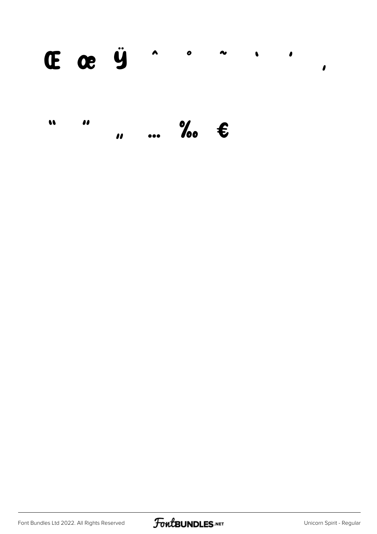#### **E** œ Ÿ  $\lambda$  $\bullet$  $\sim$  $\bullet$  $\bullet$  $\mathbf{\iota}$

#### $\therefore$  %  $\in$  $\bullet$  $\bullet$

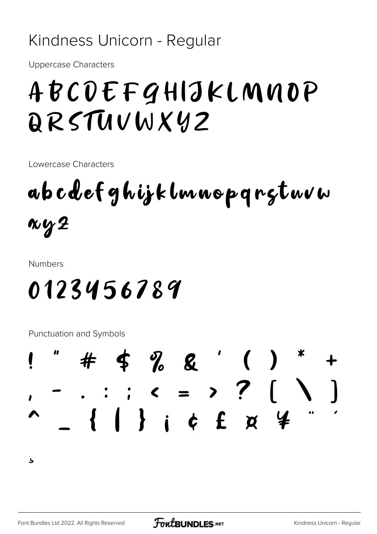#### Kindness Unicorn - Regular

**Uppercase Characters** 

## ABCDEFGHIJKLMNOP DRSTUVWXYZ

Lowercase Characters

ab cdef ghijk lmnop q rgtwvw  $\kappa$ y $2$ 

**Numbers** 

## 0123456789

Punctuation and Symbols



 $\overline{\mathbf{r}}$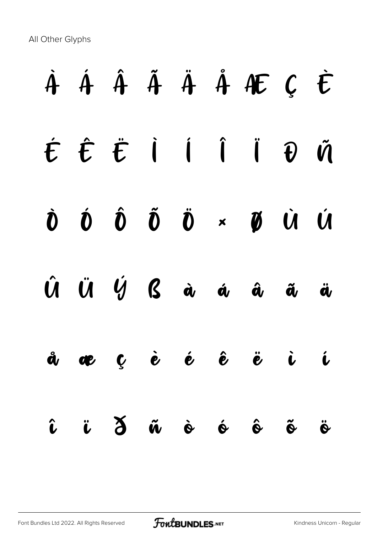All Other Glyphs

# À Á Â Ã Ä Å Æ Ç È É Ê Ë Ì Í Î Ï Ð Ñ Ò Ó Ô Õ Ö × Ø Ù Ú Û Ü Ý ß à á â ã ä å æ ç è é ê ë ì í î ï ð ñ ò ó ô õ ö